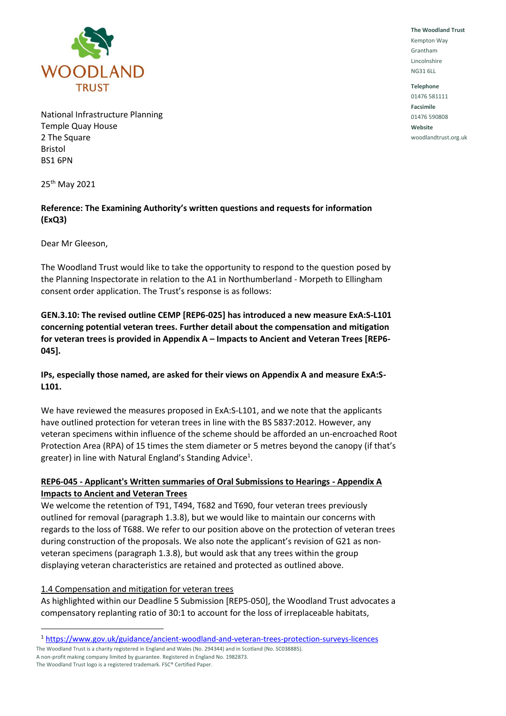

National Infrastructure Planning Temple Quay House 2 The Square Bristol BS1 6PN

25th May 2021

# **Reference: The Examining Authority's written questions and requests for information (ExQ3)**

Dear Mr Gleeson,

The Woodland Trust would like to take the opportunity to respond to the question posed by the Planning Inspectorate in relation to the A1 in Northumberland - Morpeth to Ellingham consent order application. The Trust's response is as follows:

**GEN.3.10: The revised outline CEMP [REP6-025] has introduced a new measure ExA:S-L101 concerning potential veteran trees. Further detail about the compensation and mitigation for veteran trees is provided in Appendix A – Impacts to Ancient and Veteran Trees [REP6- 045].** 

## **IPs, especially those named, are asked for their views on Appendix A and measure ExA:S-L101.**

We have reviewed the measures proposed in ExA:S-L101, and we note that the applicants have outlined protection for veteran trees in line with the BS 5837:2012. However, any veteran specimens within influence of the scheme should be afforded an un-encroached Root Protection Area (RPA) of 15 times the stem diameter or 5 metres beyond the canopy (if that's greater) in line with Natural England's Standing Advice<sup>1</sup>.

## **REP6-045 - Applicant's Written summaries of Oral Submissions to Hearings - Appendix A Impacts to Ancient and Veteran Trees**

We welcome the retention of T91, T494, T682 and T690, four veteran trees previously outlined for removal (paragraph 1.3.8), but we would like to maintain our concerns with regards to the loss of T688. We refer to our position above on the protection of veteran trees during construction of the proposals. We also note the applicant's revision of G21 as nonveteran specimens (paragraph 1.3.8), but would ask that any trees within the group displaying veteran characteristics are retained and protected as outlined above.

#### 1.4 Compensation and mitigation for veteran trees

As highlighted within our Deadline 5 Submission [REP5-050], the Woodland Trust advocates a compensatory replanting ratio of 30:1 to account for the loss of irreplaceable habitats,

The Woodland Trust is a charity registered in England and Wales (No. 294344) and in Scotland (No. SC038885). A non-profit making company limited by guarantee. Registered in England No. 1982873.

**The Woodland Trust** Kempton Way Grantham Lincolnshire NG31 6LL

**Telephone** 01476 581111 **Facsimile** 01476 590808 **Website** woodlandtrust.org.uk

<sup>1</sup> <https://www.gov.uk/guidance/ancient-woodland-and-veteran-trees-protection-surveys-licences>

The Woodland Trust logo is a registered trademark. FSC® Certified Paper.